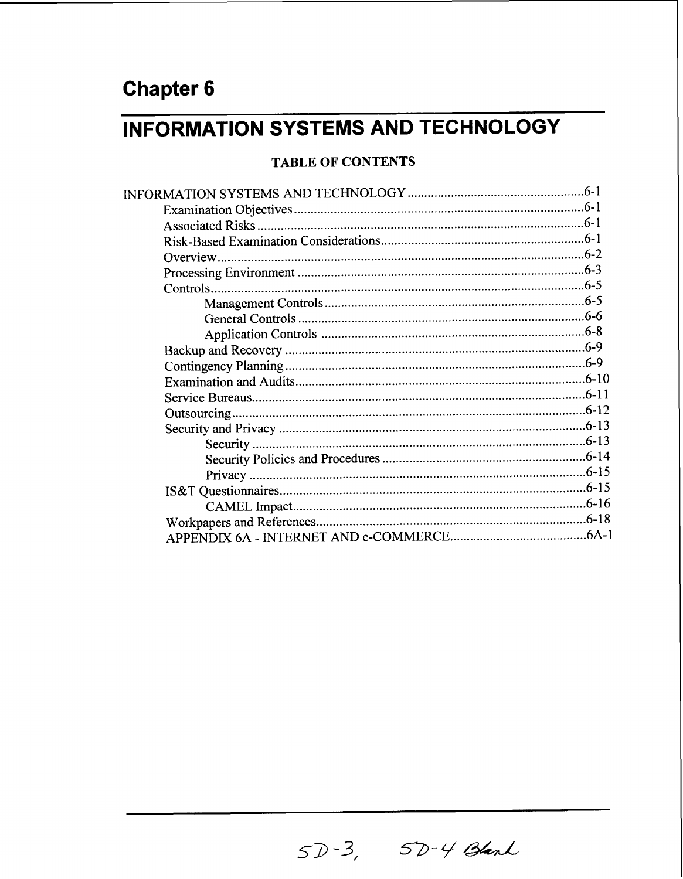# **INFORMATION SYSTEMS AND TECHNOLOGY**

#### **TABLE OF CONTENTS**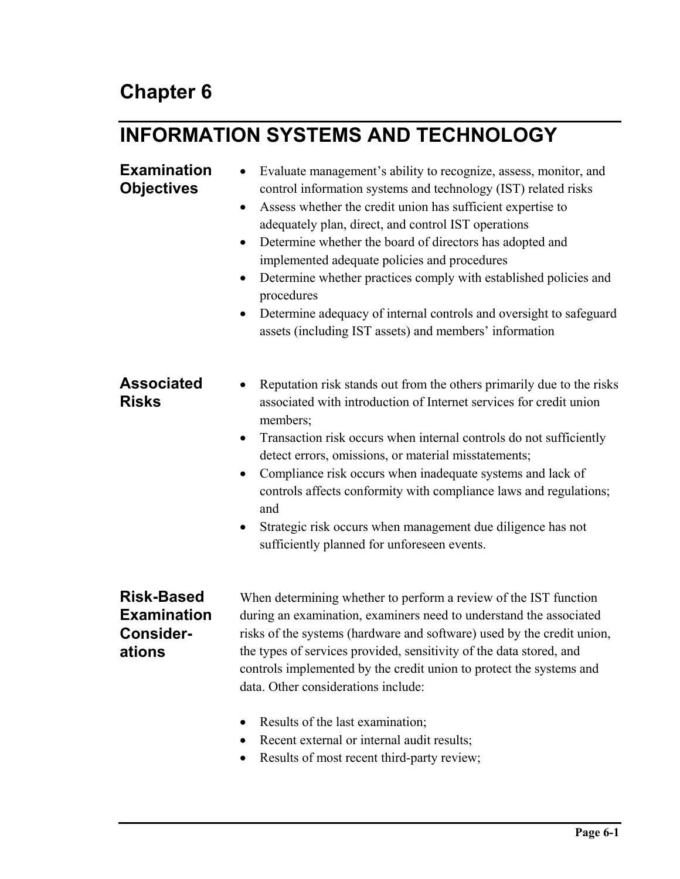# **INFORMATION SYSTEMS AND TECHNOLOGY**

#### • Evaluate management's ability to recognize, assess, monitor, and control information systems and technology (IST) related risks • Assess whether the credit union has sufficient expertise to adequately plan, direct, and control IST operations • Determine whether the board of directors has adopted and implemented adequate policies and procedures • Determine whether practices comply with established policies and procedures • Determine adequacy of internal controls and oversight to safeguard assets (including IST assets) and members' information • Reputation risk stands out from the others primarily due to the risks associated with introduction of Internet services for credit union members; • Transaction risk occurs when internal controls do not sufficiently detect errors, omissions, or material misstatements; • Compliance risk occurs when inadequate systems and lack of controls affects conformity with compliance laws and regulations; and • Strategic risk occurs when management due diligence has not sufficiently planned for unforeseen events. When determining whether to perform a review of the IST function during an examination, examiners need to understand the associated **Examination Objectives Associated Risks Risk-Based Examination**

# **Considerations**

risks of the systems (hardware and software) used by the credit union, the types of services provided, sensitivity of the data stored, and controls implemented by the credit union to protect the systems and data. Other considerations include:

- Results of the last examination;
- Recent external or internal audit results;
- Results of most recent third-party review;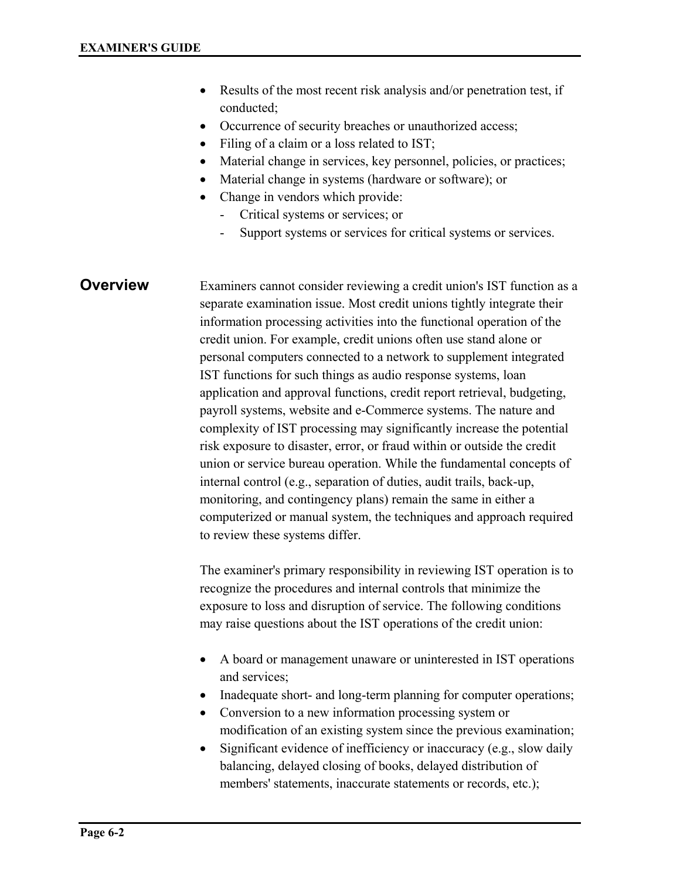- Results of the most recent risk analysis and/or penetration test, if conducted;
- Occurrence of security breaches or unauthorized access;
- Filing of a claim or a loss related to IST;
- Material change in services, key personnel, policies, or practices;
- Material change in systems (hardware or software); or
- Change in vendors which provide:
	- Critical systems or services; or
	- Support systems or services for critical systems or services.

#### **Overview**

Examiners cannot consider reviewing a credit union's IST function as a separate examination issue. Most credit unions tightly integrate their information processing activities into the functional operation of the credit union. For example, credit unions often use stand alone or personal computers connected to a network to supplement integrated IST functions for such things as audio response systems, loan application and approval functions, credit report retrieval, budgeting, payroll systems, website and e-Commerce systems. The nature and complexity of IST processing may significantly increase the potential risk exposure to disaster, error, or fraud within or outside the credit union or service bureau operation. While the fundamental concepts of internal control (e.g., separation of duties, audit trails, back-up, monitoring, and contingency plans) remain the same in either a computerized or manual system, the techniques and approach required to review these systems differ.

The examiner's primary responsibility in reviewing IST operation is to recognize the procedures and internal controls that minimize the exposure to loss and disruption of service. The following conditions may raise questions about the IST operations of the credit union:

- A board or management unaware or uninterested in IST operations and services;
- Inadequate short- and long-term planning for computer operations;
- Conversion to a new information processing system or modification of an existing system since the previous examination;
- Significant evidence of inefficiency or inaccuracy (e.g., slow daily balancing, delayed closing of books, delayed distribution of members' statements, inaccurate statements or records, etc.);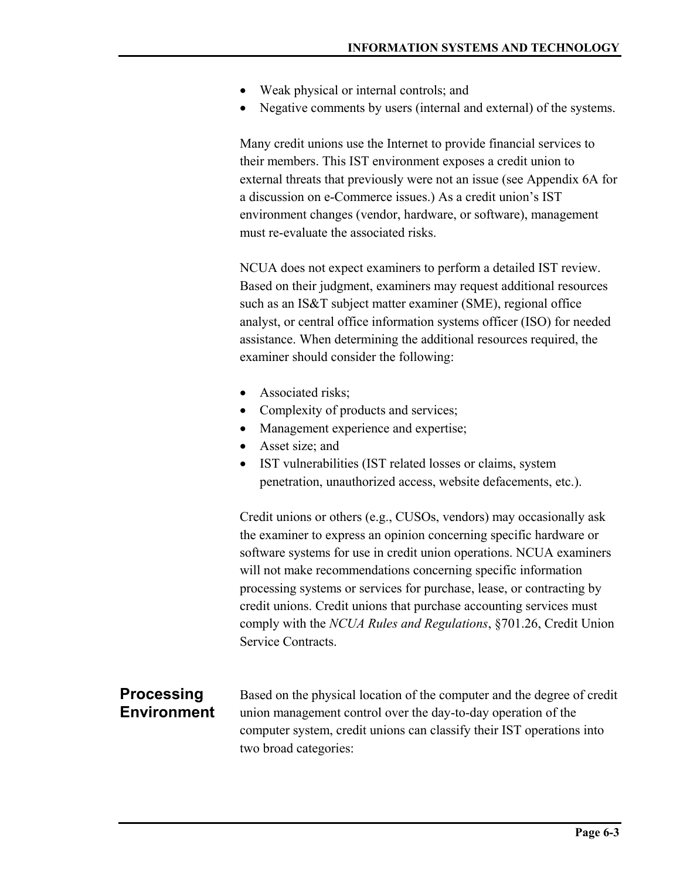- Weak physical or internal controls; and
- Negative comments by users (internal and external) of the systems.

Many credit unions use the Internet to provide financial services to their members. This IST environment exposes a credit union to external threats that previously were not an issue (see Appendix 6A for a discussion on e-Commerce issues.) As a credit union's IST environment changes (vendor, hardware, or software), management must re-evaluate the associated risks.

NCUA does not expect examiners to perform a detailed IST review. Based on their judgment, examiners may request additional resources such as an IS&T subject matter examiner (SME), regional office analyst, or central office information systems officer (ISO) for needed assistance. When determining the additional resources required, the examiner should consider the following:

- Associated risks:
- Complexity of products and services;
- Management experience and expertise;
- Asset size; and
- IST vulnerabilities (IST related losses or claims, system penetration, unauthorized access, website defacements, etc.).

Credit unions or others (e.g., CUSOs, vendors) may occasionally ask the examiner to express an opinion concerning specific hardware or software systems for use in credit union operations. NCUA examiners will not make recommendations concerning specific information processing systems or services for purchase, lease, or contracting by credit unions. Credit unions that purchase accounting services must comply with the *NCUA Rules and Regulations*, §701.26, Credit Union Service Contracts.

### **Processing Environment**

Based on the physical location of the computer and the degree of credit union management control over the day-to-day operation of the computer system, credit unions can classify their IST operations into two broad categories: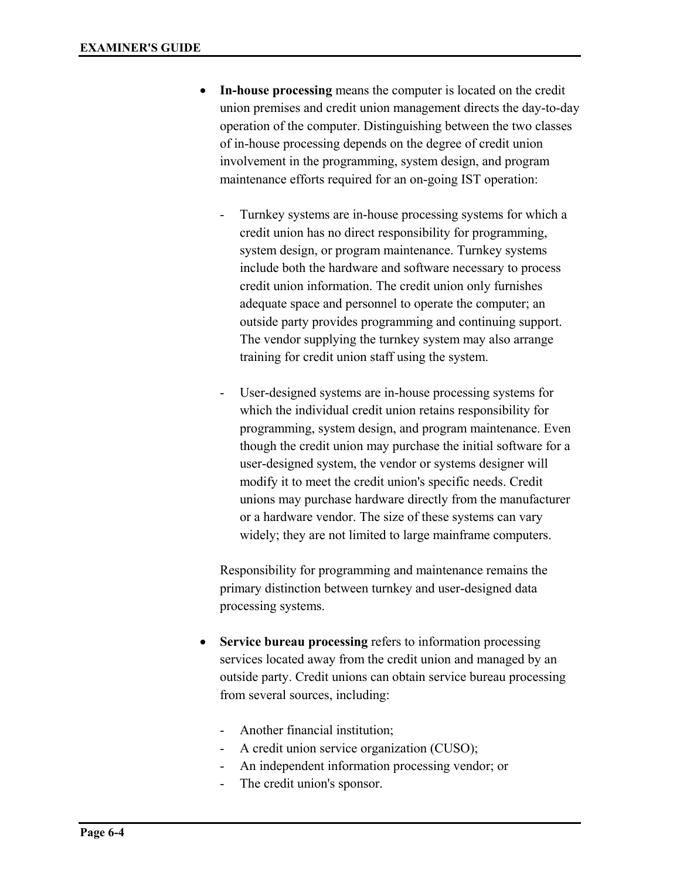- **In-house processing** means the computer is located on the credit union premises and credit union management directs the day-to-day operation of the computer. Distinguishing between the two classes of in-house processing depends on the degree of credit union involvement in the programming, system design, and program maintenance efforts required for an on-going IST operation:
	- Turnkey systems are in-house processing systems for which a credit union has no direct responsibility for programming, system design, or program maintenance. Turnkey systems include both the hardware and software necessary to process credit union information. The credit union only furnishes adequate space and personnel to operate the computer; an outside party provides programming and continuing support. The vendor supplying the turnkey system may also arrange training for credit union staff using the system.
	- User-designed systems are in-house processing systems for which the individual credit union retains responsibility for programming, system design, and program maintenance. Even though the credit union may purchase the initial software for a user-designed system, the vendor or systems designer will modify it to meet the credit union's specific needs. Credit unions may purchase hardware directly from the manufacturer or a hardware vendor. The size of these systems can vary widely; they are not limited to large mainframe computers.

 Responsibility for programming and maintenance remains the primary distinction between turnkey and user-designed data processing systems.

- **Service bureau processing** refers to information processing services located away from the credit union and managed by an outside party. Credit unions can obtain service bureau processing from several sources, including:
	- Another financial institution;
	- A credit union service organization (CUSO);
	- An independent information processing vendor; or
	- The credit union's sponsor.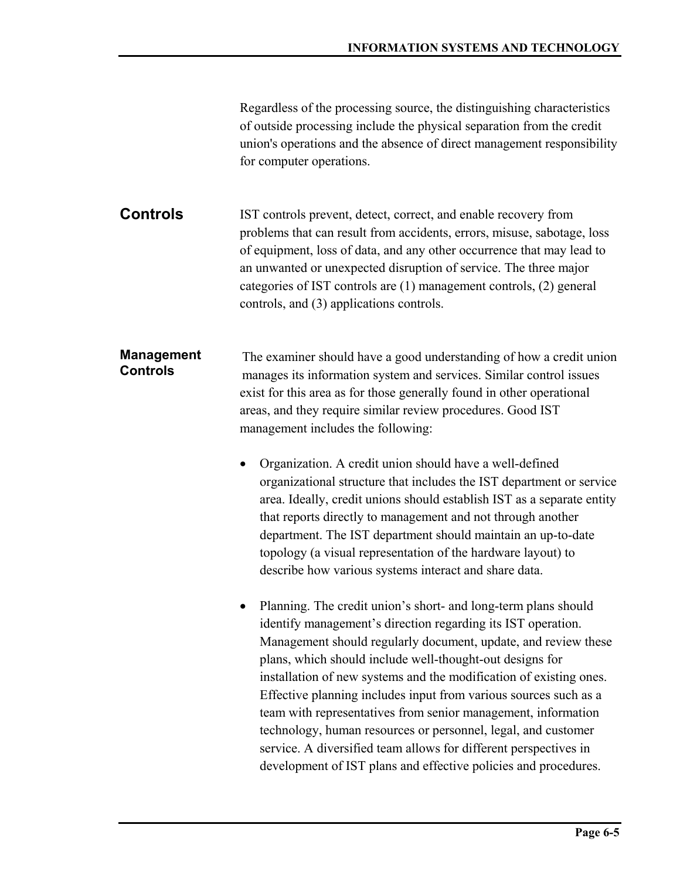| Regardless of the processing source, the distinguishing characteristics |
|-------------------------------------------------------------------------|
| of outside processing include the physical separation from the credit   |
| union's operations and the absence of direct management responsibility  |
| for computer operations.                                                |

IST controls prevent, detect, correct, and enable recovery from problems that can result from accidents, errors, misuse, sabotage, loss of equipment, loss of data, and any other occurrence that may lead to an unwanted or unexpected disruption of service. The three major categories of IST controls are (1) management controls, (2) general controls, and (3) applications controls. **Controls** 

The examiner should have a good understanding of how a credit union manages its information system and services. Similar control issues exist for this area as for those generally found in other operational areas, and they require similar review procedures. Good IST management includes the following: **Management Controls** 

> • Organization. A credit union should have a well-defined organizational structure that includes the IST department or service area. Ideally, credit unions should establish IST as a separate entity that reports directly to management and not through another department. The IST department should maintain an up-to-date topology (a visual representation of the hardware layout) to describe how various systems interact and share data.

• Planning. The credit union's short- and long-term plans should identify management's direction regarding its IST operation. Management should regularly document, update, and review these plans, which should include well-thought-out designs for installation of new systems and the modification of existing ones. Effective planning includes input from various sources such as a team with representatives from senior management, information technology, human resources or personnel, legal, and customer service. A diversified team allows for different perspectives in development of IST plans and effective policies and procedures.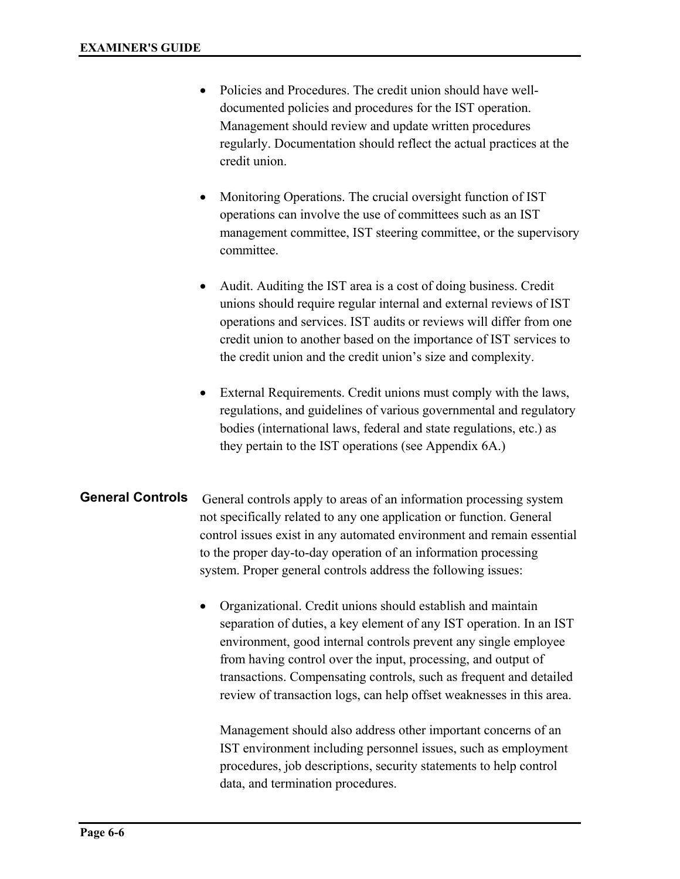- Policies and Procedures. The credit union should have welldocumented policies and procedures for the IST operation. Management should review and update written procedures regularly. Documentation should reflect the actual practices at the credit union.
- Monitoring Operations. The crucial oversight function of IST operations can involve the use of committees such as an IST management committee, IST steering committee, or the supervisory committee.
- Audit. Auditing the IST area is a cost of doing business. Credit unions should require regular internal and external reviews of IST operations and services. IST audits or reviews will differ from one credit union to another based on the importance of IST services to the credit union and the credit union's size and complexity.
- External Requirements. Credit unions must comply with the laws, regulations, and guidelines of various governmental and regulatory bodies (international laws, federal and state regulations, etc.) as they pertain to the IST operations (see Appendix 6A.)

#### General controls apply to areas of an information processing system not specifically related to any one application or function. General control issues exist in any automated environment and remain essential to the proper day-to-day operation of an information processing system. Proper general controls address the following issues: **General Controls**

• Organizational. Credit unions should establish and maintain separation of duties, a key element of any IST operation. In an IST environment, good internal controls prevent any single employee from having control over the input, processing, and output of transactions. Compensating controls, such as frequent and detailed review of transaction logs, can help offset weaknesses in this area.

Management should also address other important concerns of an IST environment including personnel issues, such as employment procedures, job descriptions, security statements to help control data, and termination procedures.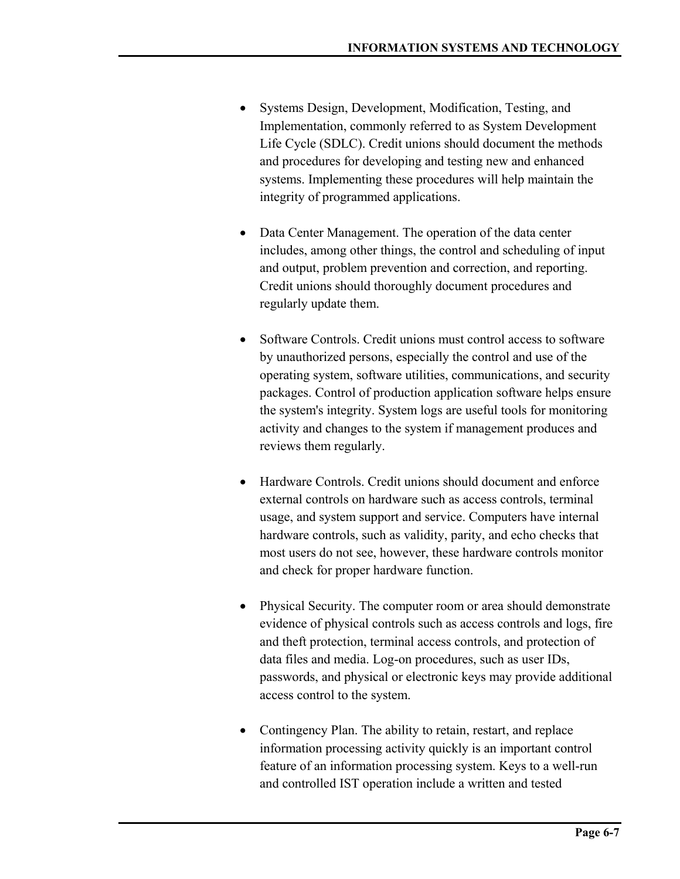- Systems Design, Development, Modification, Testing, and Implementation, commonly referred to as System Development Life Cycle (SDLC). Credit unions should document the methods and procedures for developing and testing new and enhanced systems. Implementing these procedures will help maintain the integrity of programmed applications.
- Data Center Management. The operation of the data center includes, among other things, the control and scheduling of input and output, problem prevention and correction, and reporting. Credit unions should thoroughly document procedures and regularly update them.
- Software Controls. Credit unions must control access to software by unauthorized persons, especially the control and use of the operating system, software utilities, communications, and security packages. Control of production application software helps ensure the system's integrity. System logs are useful tools for monitoring activity and changes to the system if management produces and reviews them regularly.
- Hardware Controls. Credit unions should document and enforce external controls on hardware such as access controls, terminal usage, and system support and service. Computers have internal hardware controls, such as validity, parity, and echo checks that most users do not see, however, these hardware controls monitor and check for proper hardware function.
- Physical Security. The computer room or area should demonstrate evidence of physical controls such as access controls and logs, fire and theft protection, terminal access controls, and protection of data files and media. Log-on procedures, such as user IDs, passwords, and physical or electronic keys may provide additional access control to the system.
- Contingency Plan. The ability to retain, restart, and replace information processing activity quickly is an important control feature of an information processing system. Keys to a well-run and controlled IST operation include a written and tested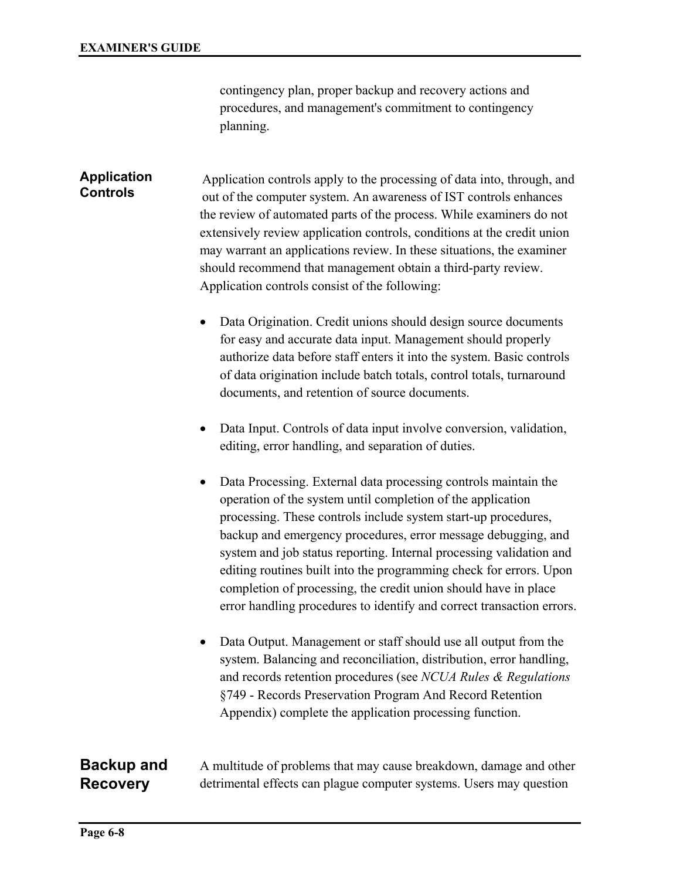contingency plan, proper backup and recovery actions and procedures, and management's commitment to contingency planning.

#### **Application Controls**

Application controls apply to the processing of data into, through, and out of the computer system. An awareness of IST controls enhances the review of automated parts of the process. While examiners do not extensively review application controls, conditions at the credit union may warrant an applications review. In these situations, the examiner should recommend that management obtain a third-party review. Application controls consist of the following:

- Data Origination. Credit unions should design source documents for easy and accurate data input. Management should properly authorize data before staff enters it into the system. Basic controls of data origination include batch totals, control totals, turnaround documents, and retention of source documents.
- Data Input. Controls of data input involve conversion, validation, editing, error handling, and separation of duties.
- Data Processing. External data processing controls maintain the operation of the system until completion of the application processing. These controls include system start-up procedures, backup and emergency procedures, error message debugging, and system and job status reporting. Internal processing validation and editing routines built into the programming check for errors. Upon completion of processing, the credit union should have in place error handling procedures to identify and correct transaction errors.
- Data Output. Management or staff should use all output from the system. Balancing and reconciliation, distribution, error handling, and records retention procedures (see *NCUA Rules & Regulations* §749 - Records Preservation Program And Record Retention Appendix) complete the application processing function.

#### **Backup and Recovery**

A multitude of problems that may cause breakdown, damage and other detrimental effects can plague computer systems. Users may question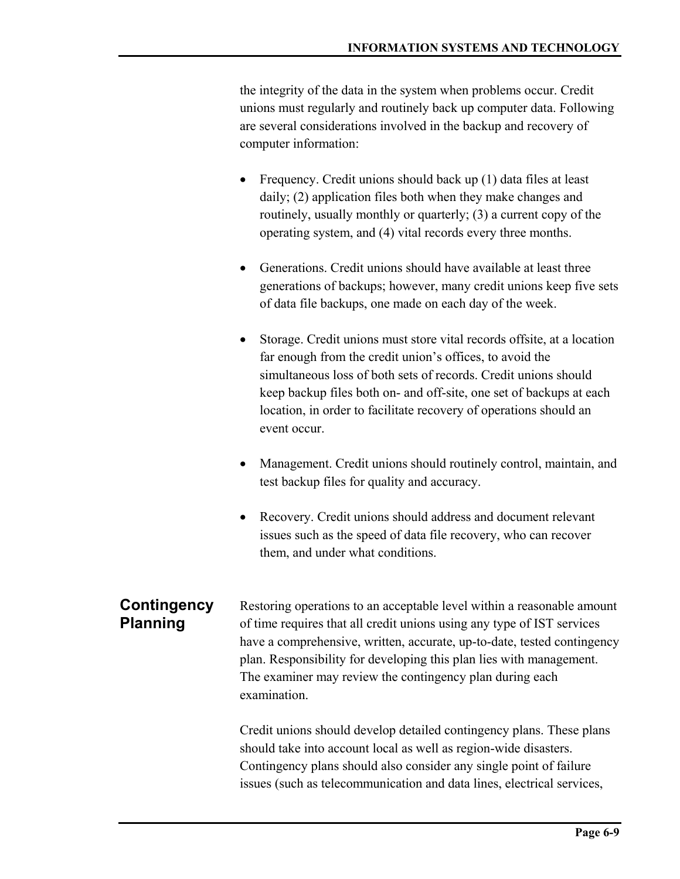the integrity of the data in the system when problems occur. Credit unions must regularly and routinely back up computer data. Following are several considerations involved in the backup and recovery of computer information:

- Frequency. Credit unions should back up (1) data files at least daily; (2) application files both when they make changes and routinely, usually monthly or quarterly; (3) a current copy of the operating system, and (4) vital records every three months.
- Generations. Credit unions should have available at least three generations of backups; however, many credit unions keep five sets of data file backups, one made on each day of the week.
- Storage. Credit unions must store vital records offsite, at a location far enough from the credit union's offices, to avoid the simultaneous loss of both sets of records. Credit unions should keep backup files both on- and off-site, one set of backups at each location, in order to facilitate recovery of operations should an event occur.
- Management. Credit unions should routinely control, maintain, and test backup files for quality and accuracy.
- Recovery. Credit unions should address and document relevant issues such as the speed of data file recovery, who can recover them, and under what conditions.

Restoring operations to an acceptable level within a reasonable amount of time requires that all credit unions using any type of IST services have a comprehensive, written, accurate, up-to-date, tested contingency plan. Responsibility for developing this plan lies with management. The examiner may review the contingency plan during each examination. **Contingency Planning** 

> Credit unions should develop detailed contingency plans. These plans should take into account local as well as region-wide disasters. Contingency plans should also consider any single point of failure issues (such as telecommunication and data lines, electrical services,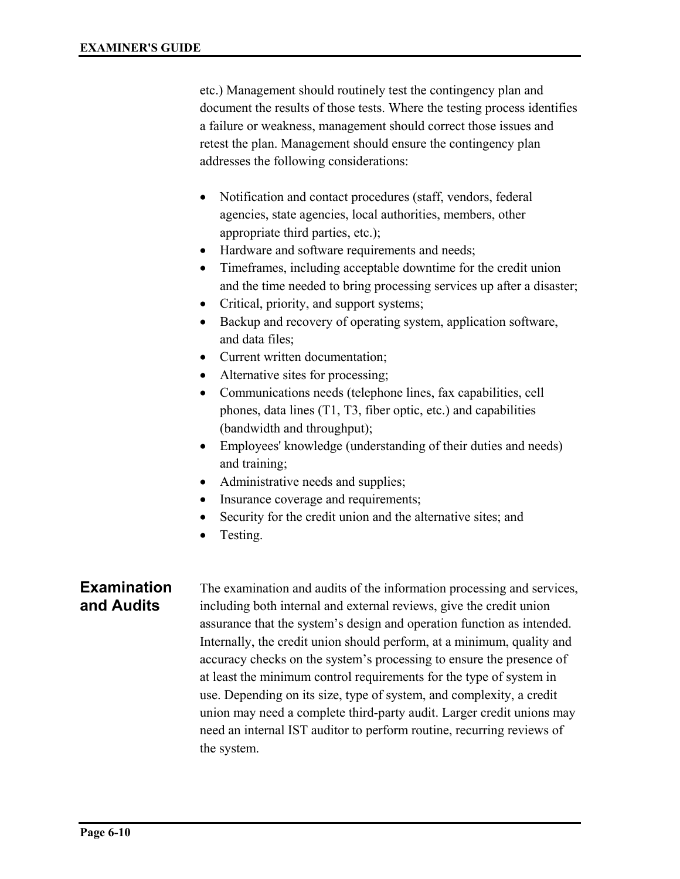etc.) Management should routinely test the contingency plan and document the results of those tests. Where the testing process identifies a failure or weakness, management should correct those issues and retest the plan. Management should ensure the contingency plan addresses the following considerations:

- Notification and contact procedures (staff, vendors, federal agencies, state agencies, local authorities, members, other appropriate third parties, etc.);
- Hardware and software requirements and needs;
- Timeframes, including acceptable downtime for the credit union and the time needed to bring processing services up after a disaster;
- Critical, priority, and support systems;
- Backup and recovery of operating system, application software, and data files;
- Current written documentation;
- Alternative sites for processing;
- Communications needs (telephone lines, fax capabilities, cell phones, data lines (T1, T3, fiber optic, etc.) and capabilities (bandwidth and throughput);
- Employees' knowledge (understanding of their duties and needs) and training;
- Administrative needs and supplies;
- Insurance coverage and requirements;
- Security for the credit union and the alternative sites; and
- Testing.

#### **Examination and Audits**

The examination and audits of the information processing and services, including both internal and external reviews, give the credit union assurance that the system's design and operation function as intended. Internally, the credit union should perform, at a minimum, quality and accuracy checks on the system's processing to ensure the presence of at least the minimum control requirements for the type of system in use. Depending on its size, type of system, and complexity, a credit union may need a complete third-party audit. Larger credit unions may need an internal IST auditor to perform routine, recurring reviews of the system.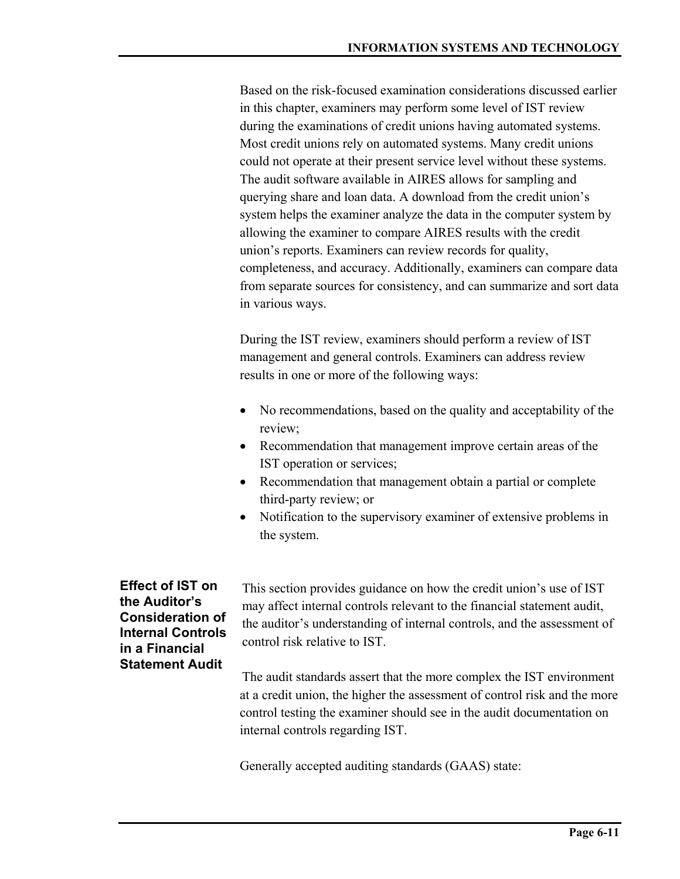Based on the risk-focused examination considerations discussed earlier in this chapter, examiners may perform some level of IST review during the examinations of credit unions having automated systems. Most credit unions rely on automated systems. Many credit unions could not operate at their present service level without these systems. The audit software available in AIRES allows for sampling and querying share and loan data. A download from the credit union's system helps the examiner analyze the data in the computer system by allowing the examiner to compare AIRES results with the credit union's reports. Examiners can review records for quality, completeness, and accuracy. Additionally, examiners can compare data from separate sources for consistency, and can summarize and sort data in various ways.

During the IST review, examiners should perform a review of IST management and general controls. Examiners can address review results in one or more of the following ways:

- No recommendations, based on the quality and acceptability of the review;
- Recommendation that management improve certain areas of the IST operation or services;
- Recommendation that management obtain a partial or complete third-party review; or
- Notification to the supervisory examiner of extensive problems in the system.

**Effect of IST on the Auditor's Consideration of Internal Controls in a Financial Statement Audit** 

This section provides guidance on how the credit union's use of IST may affect internal controls relevant to the financial statement audit, the auditor's understanding of internal controls, and the assessment of control risk relative to IST.

The audit standards assert that the more complex the IST environment at a credit union, the higher the assessment of control risk and the more control testing the examiner should see in the audit documentation on internal controls regarding IST.

Generally accepted auditing standards (GAAS) state: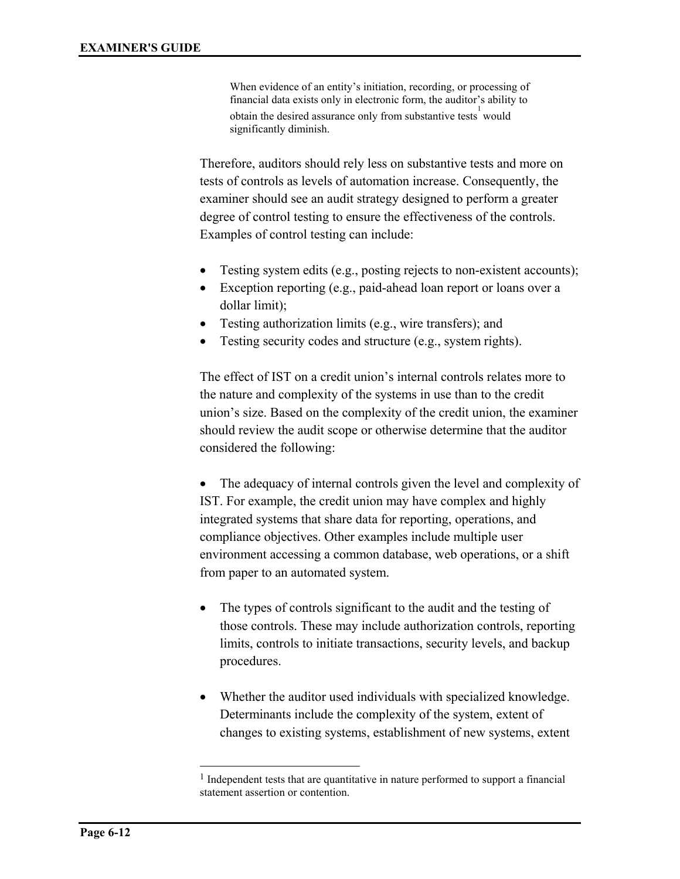When evidence of an entity's initiation, recording, or processing of financial data exists only in electronic form, the auditor's ability to obtain the desired assurance only from substantive tests would significantly diminish.

Therefore, auditors should rely less on substantive tests and more on tests of controls as levels of automation increase. Consequently, the examiner should see an audit strategy designed to perform a greater degree of control testing to ensure the effectiveness of the controls. Examples of control testing can include:

- Testing system edits (e.g., posting rejects to non-existent accounts);
- Exception reporting (e.g., paid-ahead loan report or loans over a dollar limit);
- Testing authorization limits (e.g., wire transfers); and
- Testing security codes and structure (e.g., system rights).

The effect of IST on a credit union's internal controls relates more to the nature and complexity of the systems in use than to the credit union's size. Based on the complexity of the credit union, the examiner should review the audit scope or otherwise determine that the auditor considered the following:

• The adequacy of internal controls given the level and complexity of IST. For example, the credit union may have complex and highly integrated systems that share data for reporting, operations, and compliance objectives. Other examples include multiple user environment accessing a common database, web operations, or a shift from paper to an automated system.

- The types of controls significant to the audit and the testing of those controls. These may include authorization controls, reporting limits, controls to initiate transactions, security levels, and backup procedures.
- Whether the auditor used individuals with specialized knowledge. Determinants include the complexity of the system, extent of changes to existing systems, establishment of new systems, extent

l

<sup>&</sup>lt;sup>1</sup> Independent tests that are quantitative in nature performed to support a financial statement assertion or contention.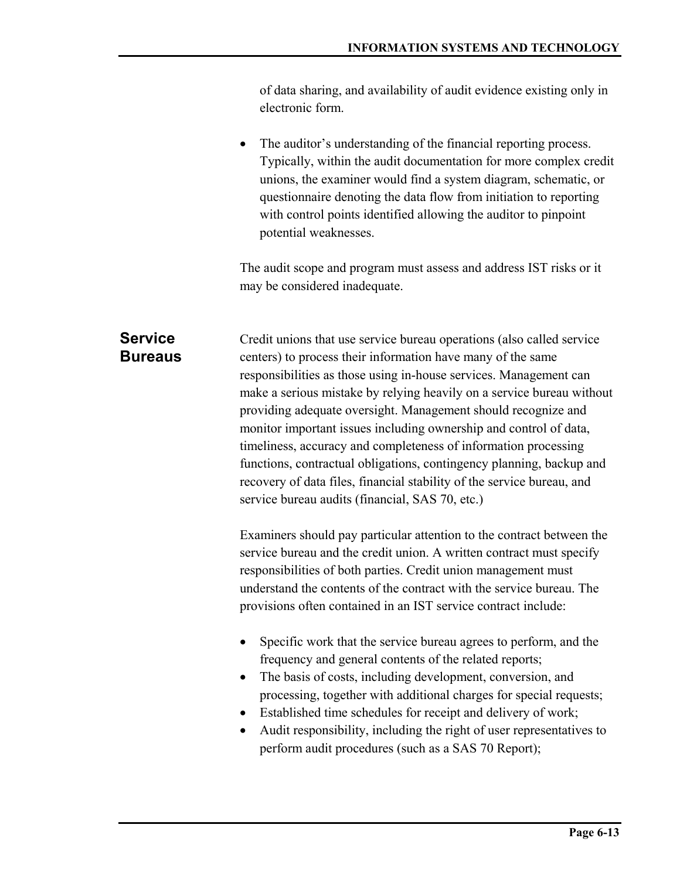of data sharing, and availability of audit evidence existing only in electronic form.

The auditor's understanding of the financial reporting process. Typically, within the audit documentation for more complex credit unions, the examiner would find a system diagram, schematic, or questionnaire denoting the data flow from initiation to reporting with control points identified allowing the auditor to pinpoint potential weaknesses.

The audit scope and program must assess and address IST risks or it may be considered inadequate.

Credit unions that use service bureau operations (also called service centers) to process their information have many of the same responsibilities as those using in-house services. Management can make a serious mistake by relying heavily on a service bureau without providing adequate oversight. Management should recognize and monitor important issues including ownership and control of data, timeliness, accuracy and completeness of information processing functions, contractual obligations, contingency planning, backup and recovery of data files, financial stability of the service bureau, and service bureau audits (financial, SAS 70, etc.) **Service Bureaus** 

> Examiners should pay particular attention to the contract between the service bureau and the credit union. A written contract must specify responsibilities of both parties. Credit union management must understand the contents of the contract with the service bureau. The provisions often contained in an IST service contract include:

- Specific work that the service bureau agrees to perform, and the frequency and general contents of the related reports;
- The basis of costs, including development, conversion, and processing, together with additional charges for special requests;
- Established time schedules for receipt and delivery of work;
- Audit responsibility, including the right of user representatives to perform audit procedures (such as a SAS 70 Report);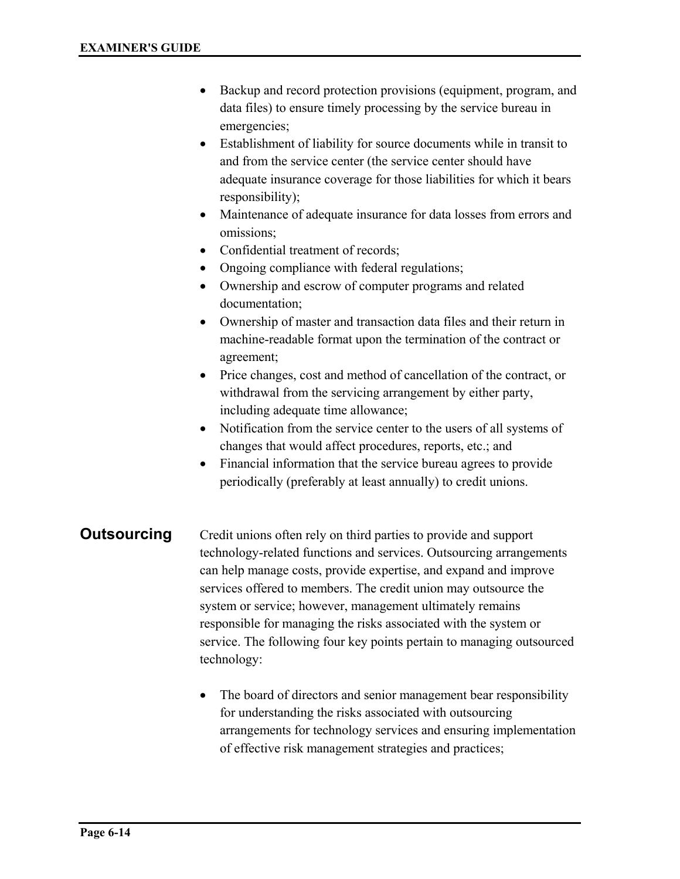- Backup and record protection provisions (equipment, program, and data files) to ensure timely processing by the service bureau in emergencies;
- Establishment of liability for source documents while in transit to and from the service center (the service center should have adequate insurance coverage for those liabilities for which it bears responsibility);
- Maintenance of adequate insurance for data losses from errors and omissions;
- Confidential treatment of records;
- Ongoing compliance with federal regulations;
- Ownership and escrow of computer programs and related documentation;
- Ownership of master and transaction data files and their return in machine-readable format upon the termination of the contract or agreement;
- Price changes, cost and method of cancellation of the contract, or withdrawal from the servicing arrangement by either party, including adequate time allowance;
- Notification from the service center to the users of all systems of changes that would affect procedures, reports, etc.; and
- Financial information that the service bureau agrees to provide periodically (preferably at least annually) to credit unions.

#### **Outsourcing**

Credit unions often rely on third parties to provide and support technology-related functions and services. Outsourcing arrangements can help manage costs, provide expertise, and expand and improve services offered to members. The credit union may outsource the system or service; however, management ultimately remains responsible for managing the risks associated with the system or service. The following four key points pertain to managing outsourced technology:

• The board of directors and senior management bear responsibility for understanding the risks associated with outsourcing arrangements for technology services and ensuring implementation of effective risk management strategies and practices;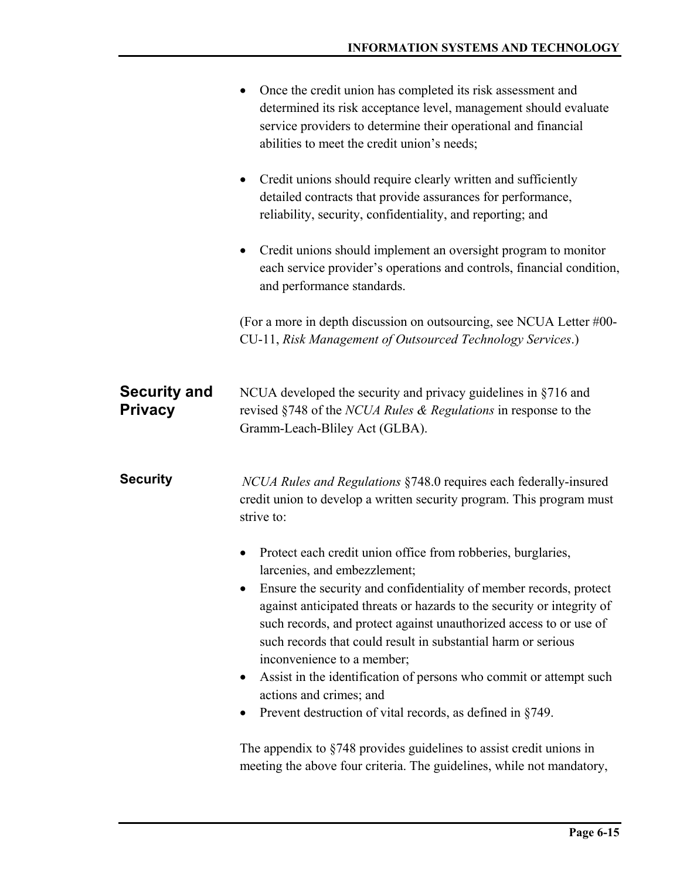|                                       | Once the credit union has completed its risk assessment and<br>٠<br>determined its risk acceptance level, management should evaluate<br>service providers to determine their operational and financial<br>abilities to meet the credit union's needs;                                                                                                                                                                                                                                                                                                                                                     |
|---------------------------------------|-----------------------------------------------------------------------------------------------------------------------------------------------------------------------------------------------------------------------------------------------------------------------------------------------------------------------------------------------------------------------------------------------------------------------------------------------------------------------------------------------------------------------------------------------------------------------------------------------------------|
|                                       | Credit unions should require clearly written and sufficiently<br>$\bullet$<br>detailed contracts that provide assurances for performance,<br>reliability, security, confidentiality, and reporting; and                                                                                                                                                                                                                                                                                                                                                                                                   |
|                                       | Credit unions should implement an oversight program to monitor<br>$\bullet$<br>each service provider's operations and controls, financial condition,<br>and performance standards.                                                                                                                                                                                                                                                                                                                                                                                                                        |
|                                       | (For a more in depth discussion on outsourcing, see NCUA Letter $\#00$ -<br>CU-11, Risk Management of Outsourced Technology Services.)                                                                                                                                                                                                                                                                                                                                                                                                                                                                    |
| <b>Security and</b><br><b>Privacy</b> | NCUA developed the security and privacy guidelines in §716 and<br>revised §748 of the <i>NCUA Rules &amp; Regulations</i> in response to the<br>Gramm-Leach-Bliley Act (GLBA).                                                                                                                                                                                                                                                                                                                                                                                                                            |
| <b>Security</b>                       | NCUA Rules and Regulations §748.0 requires each federally-insured<br>credit union to develop a written security program. This program must<br>strive to:                                                                                                                                                                                                                                                                                                                                                                                                                                                  |
|                                       | Protect each credit union office from robberies, burglaries,<br>$\bullet$<br>larcenies, and embezzlement;<br>Ensure the security and confidentiality of member records, protect<br>against anticipated threats or hazards to the security or integrity of<br>such records, and protect against unauthorized access to or use of<br>such records that could result in substantial harm or serious<br>inconvenience to a member;<br>Assist in the identification of persons who commit or attempt such<br>$\bullet$<br>actions and crimes; and<br>Prevent destruction of vital records, as defined in §749. |
|                                       | The appendix to $\S$ 748 provides guidelines to assist credit unions in<br>meeting the above four criteria. The guidelines, while not mandatory,                                                                                                                                                                                                                                                                                                                                                                                                                                                          |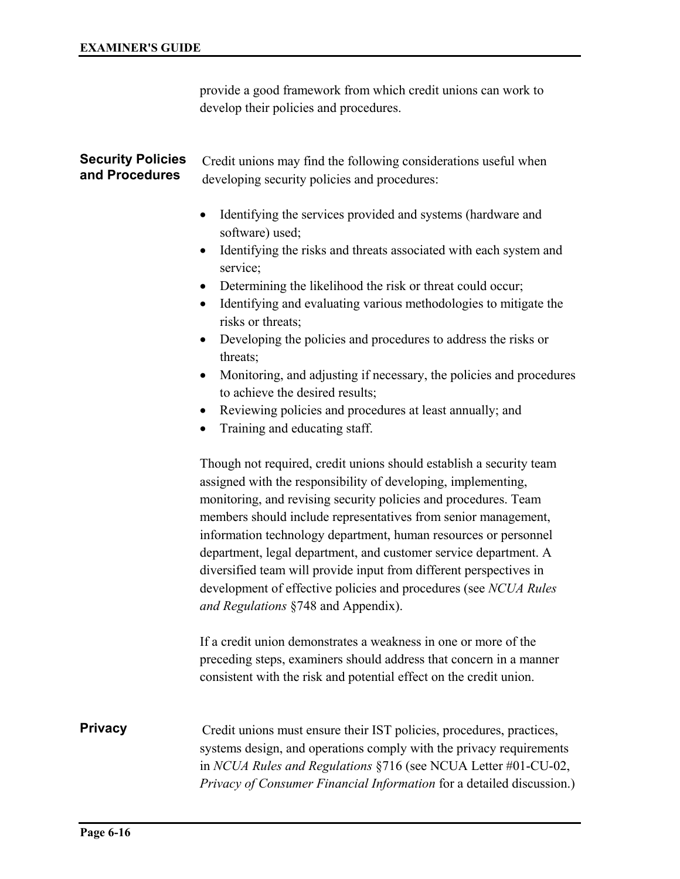provide a good framework from which credit unions can work to develop their policies and procedures.

#### Credit unions may find the following considerations useful when developing security policies and procedures: **Security Policies and Procedures**

- Identifying the services provided and systems (hardware and software) used;
- Identifying the risks and threats associated with each system and service;
- Determining the likelihood the risk or threat could occur;
- Identifying and evaluating various methodologies to mitigate the risks or threats;
- Developing the policies and procedures to address the risks or threats;
- Monitoring, and adjusting if necessary, the policies and procedures to achieve the desired results;
- Reviewing policies and procedures at least annually; and
- Training and educating staff.

Though not required, credit unions should establish a security team assigned with the responsibility of developing, implementing, monitoring, and revising security policies and procedures. Team members should include representatives from senior management, information technology department, human resources or personnel department, legal department, and customer service department. A diversified team will provide input from different perspectives in development of effective policies and procedures (see *NCUA Rules and Regulations* §748 and Appendix).

If a credit union demonstrates a weakness in one or more of the preceding steps, examiners should address that concern in a manner consistent with the risk and potential effect on the credit union.

#### **Privacy**

Credit unions must ensure their IST policies, procedures, practices, systems design, and operations comply with the privacy requirements in *NCUA Rules and Regulations* §716 (see NCUA Letter #01-CU-02, *Privacy of Consumer Financial Information* for a detailed discussion.)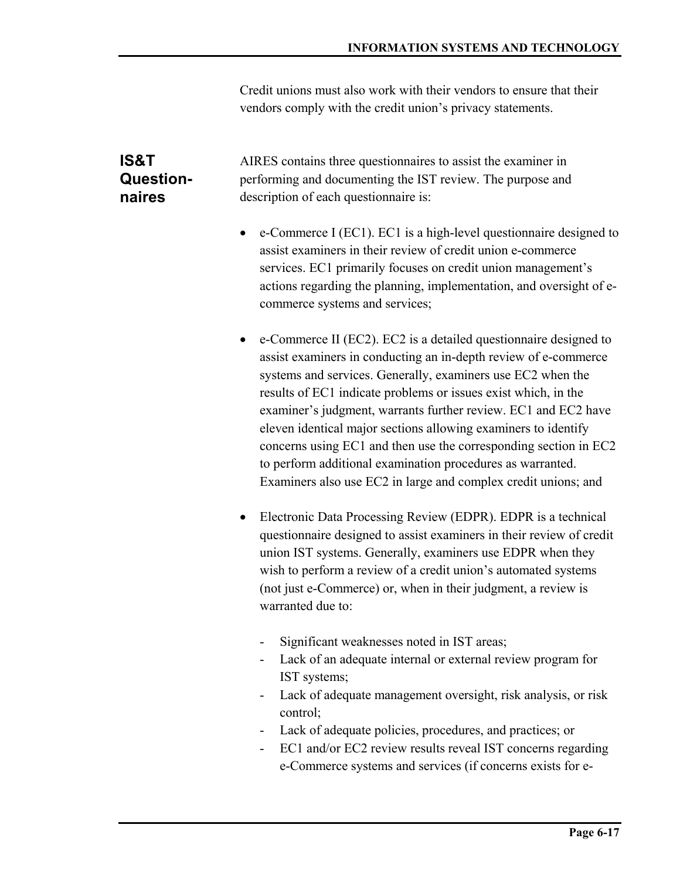Credit unions must also work with their vendors to ensure that their vendors comply with the credit union's privacy statements.

## **IS&T Questionnaires**

AIRES contains three questionnaires to assist the examiner in performing and documenting the IST review. The purpose and description of each questionnaire is:

- e-Commerce I (EC1). EC1 is a high-level questionnaire designed to assist examiners in their review of credit union e-commerce services. EC1 primarily focuses on credit union management's actions regarding the planning, implementation, and oversight of ecommerce systems and services;
- e-Commerce II (EC2). EC2 is a detailed questionnaire designed to assist examiners in conducting an in-depth review of e-commerce systems and services. Generally, examiners use EC2 when the results of EC1 indicate problems or issues exist which, in the examiner's judgment, warrants further review. EC1 and EC2 have eleven identical major sections allowing examiners to identify concerns using EC1 and then use the corresponding section in EC2 to perform additional examination procedures as warranted. Examiners also use EC2 in large and complex credit unions; and
- Electronic Data Processing Review (EDPR). EDPR is a technical questionnaire designed to assist examiners in their review of credit union IST systems. Generally, examiners use EDPR when they wish to perform a review of a credit union's automated systems (not just e-Commerce) or, when in their judgment, a review is warranted due to:
	- Significant weaknesses noted in IST areas;
	- Lack of an adequate internal or external review program for IST systems;
	- Lack of adequate management oversight, risk analysis, or risk control;
	- Lack of adequate policies, procedures, and practices; or
	- EC1 and/or EC2 review results reveal IST concerns regarding e-Commerce systems and services (if concerns exists for e-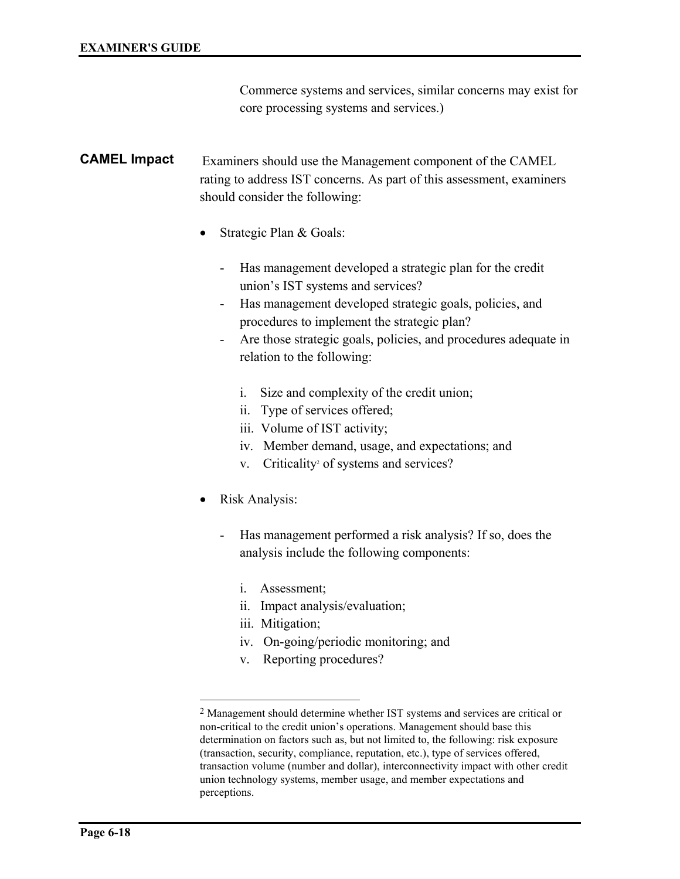Commerce systems and services, similar concerns may exist for core processing systems and services.)

#### Examiners should use the Management component of the CAMEL rating to address IST concerns. As part of this assessment, examiners should consider the following: **CAMEL Impact**

- Strategic Plan & Goals:
	- Has management developed a strategic plan for the credit union's IST systems and services?
	- Has management developed strategic goals, policies, and procedures to implement the strategic plan?
	- Are those strategic goals, policies, and procedures adequate in relation to the following:
		- i. Size and complexity of the credit union;
		- ii. Type of services offered;
		- iii. Volume of IST activity;
		- iv. Member demand, usage, and expectations; and
- v. Criticality<sup>2</sup> of systems and services?
- Risk Analysis:

l

- Has management performed a risk analysis? If so, does the analysis include the following components:
	- i. Assessment;
	- ii. Impact analysis/evaluation;
	- iii. Mitigation;
	- iv. On-going/periodic monitoring; and
	- v. Reporting procedures?

<sup>2</sup> Management should determine whether IST systems and services are critical or non-critical to the credit union's operations. Management should base this determination on factors such as, but not limited to, the following: risk exposure (transaction, security, compliance, reputation, etc.), type of services offered, transaction volume (number and dollar), interconnectivity impact with other credit union technology systems, member usage, and member expectations and perceptions.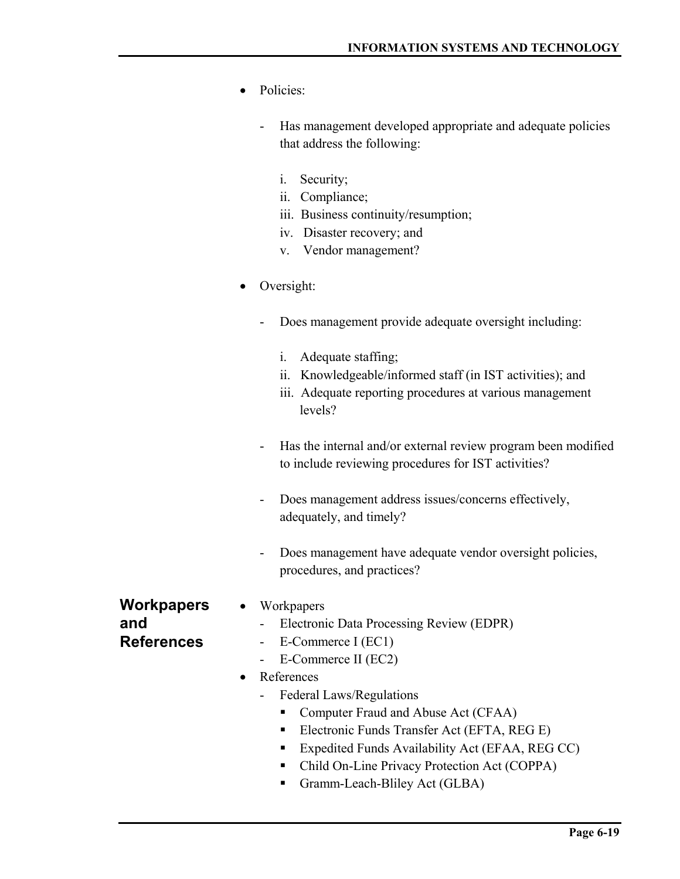- Policies:
	- Has management developed appropriate and adequate policies that address the following:
		- i. Security;
		- ii. Compliance;
		- iii. Business continuity/resumption;
		- iv. Disaster recovery; and
		- v. Vendor management?
- Oversight:
	- Does management provide adequate oversight including:
		- i. Adequate staffing;
		- ii. Knowledgeable/informed staff (in IST activities); and
		- iii. Adequate reporting procedures at various management levels?
	- Has the internal and/or external review program been modified to include reviewing procedures for IST activities?
	- Does management address issues/concerns effectively, adequately, and timely?
	- Does management have adequate vendor oversight policies, procedures, and practices?

**Workpapers and References** 

- Workpapers
	- Electronic Data Processing Review (EDPR)
	- E-Commerce I (EC1)
	- E-Commerce II (EC2)
- References
	- Federal Laws/Regulations
		- Computer Fraud and Abuse Act (CFAA)
		- Electronic Funds Transfer Act (EFTA, REG E)
		- Expedited Funds Availability Act (EFAA, REG CC)
		- Child On-Line Privacy Protection Act (COPPA)
		- Gramm-Leach-Bliley Act (GLBA)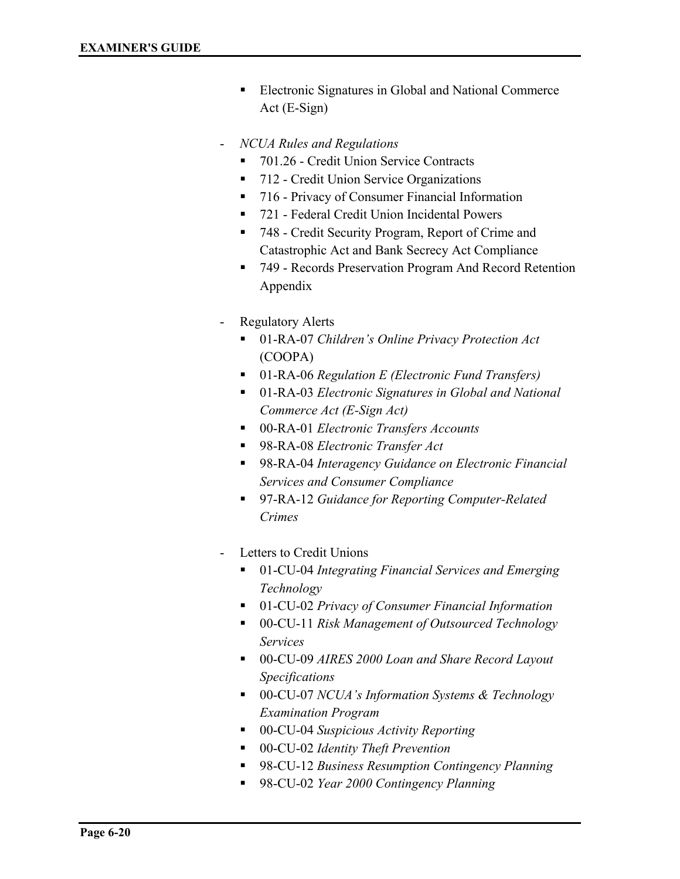- **Electronic Signatures in Global and National Commerce** Act (E-Sign)
- *NCUA Rules and Regulations*
	- 701.26 Credit Union Service Contracts
	- 712 Credit Union Service Organizations
	- 716 Privacy of Consumer Financial Information
	- 721 Federal Credit Union Incidental Powers
	- 748 Credit Security Program, Report of Crime and Catastrophic Act and Bank Secrecy Act Compliance
	- 749 Records Preservation Program And Record Retention Appendix
- Regulatory Alerts
	- 01-RA-07 *Children's Online Privacy Protection Act* (COOPA)
	- 01-RA-06 *Regulation E (Electronic Fund Transfers)*
	- 01-RA-03 *Electronic Signatures in Global and National Commerce Act (E-Sign Act)*
	- 00-RA-01 *Electronic Transfers Accounts*
	- 98-RA-08 *Electronic Transfer Act*
	- 98-RA-04 *Interagency Guidance on Electronic Financial Services and Consumer Compliance*
	- 97-RA-12 *Guidance for Reporting Computer-Related Crimes*
- Letters to Credit Unions
	- 01-CU-04 *Integrating Financial Services and Emerging Technology*
	- 01-CU-02 *Privacy of Consumer Financial Information*
	- 00-CU-11 *Risk Management of Outsourced Technology Services*
	- 00-CU-09 *AIRES 2000 Loan and Share Record Layout Specifications*
	- 00-CU-07 *NCUA's Information Systems & Technology Examination Program*
	- 00-CU-04 *Suspicious Activity Reporting*
	- 00-CU-02 *Identity Theft Prevention*
	- 98-CU-12 *Business Resumption Contingency Planning*
	- 98-CU-02 *Year 2000 Contingency Planning*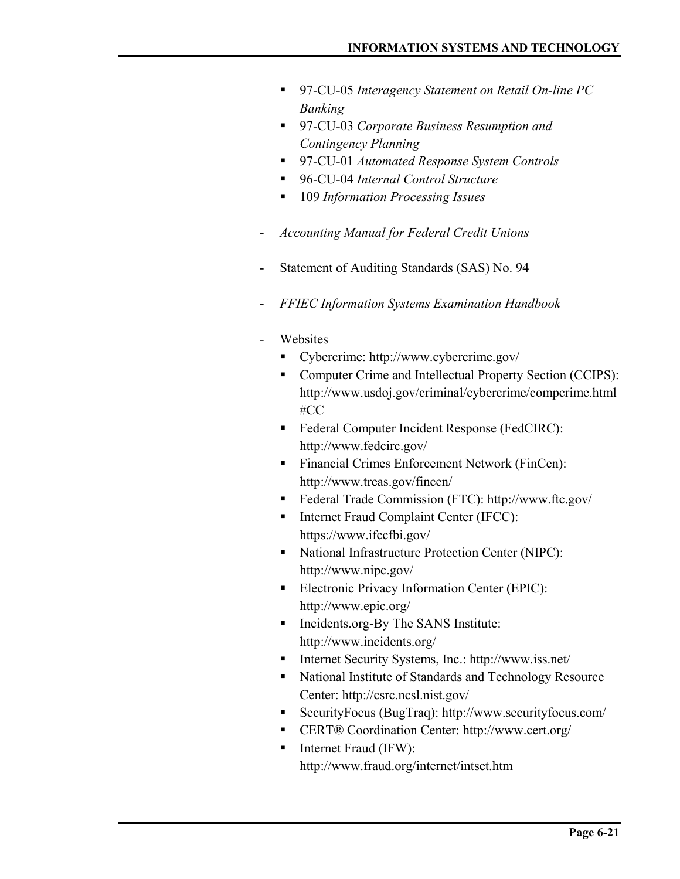- 97-CU-05 *Interagency Statement on Retail On-line PC Banking*
- 97-CU-03 *Corporate Business Resumption and Contingency Planning*
- 97-CU-01 *Automated Response System Controls*
- 96-CU-04 *Internal Control Structure*
- 109 *Information Processing Issues*
- *Accounting Manual for Federal Credit Unions*
- Statement of Auditing Standards (SAS) No. 94
- *FFIEC Information Systems Examination Handbook*
- **Websites** 
	- Cybercrime: http://www.cybercrime.gov/
	- Computer Crime and Intellectual Property Section (CCIPS): http://www.usdoj.gov/criminal/cybercrime/compcrime.html #CC
	- Federal Computer Incident Response (FedCIRC): http://www.fedcirc.gov/
	- **Financial Crimes Enforcement Network (FinCen):** http://www.treas.gov/fincen/
	- Federal Trade Commission (FTC): http://www.ftc.gov/
	- Internet Fraud Complaint Center (IFCC): https://www.ifccfbi.gov/
	- National Infrastructure Protection Center (NIPC): http://www.nipc.gov/
	- **Electronic Privacy Information Center (EPIC):** http://www.epic.org/
	- Incidents.org-By The SANS Institute: http://www.incidents.org/
	- Internet Security Systems, Inc.: http://www.iss.net/
	- National Institute of Standards and Technology Resource Center: http://csrc.ncsl.nist.gov/
	- SecurityFocus (BugTraq): http://www.securityfocus.com/
	- CERT® Coordination Center: http://www.cert.org/
	- $\blacksquare$  Internet Fraud (IFW): http://www.fraud.org/internet/intset.htm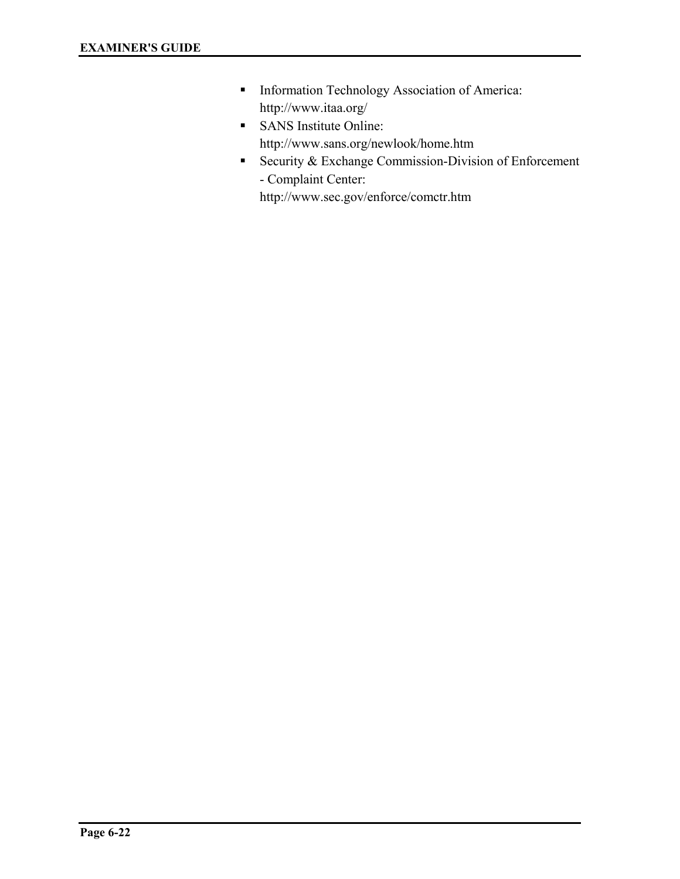- **Information Technology Association of America:** http://www.itaa.org/
- **SANS** Institute Online: http://www.sans.org/newlook/home.htm
- Security & Exchange Commission-Division of Enforcement - Complaint Center:

http://www.sec.gov/enforce/comctr.htm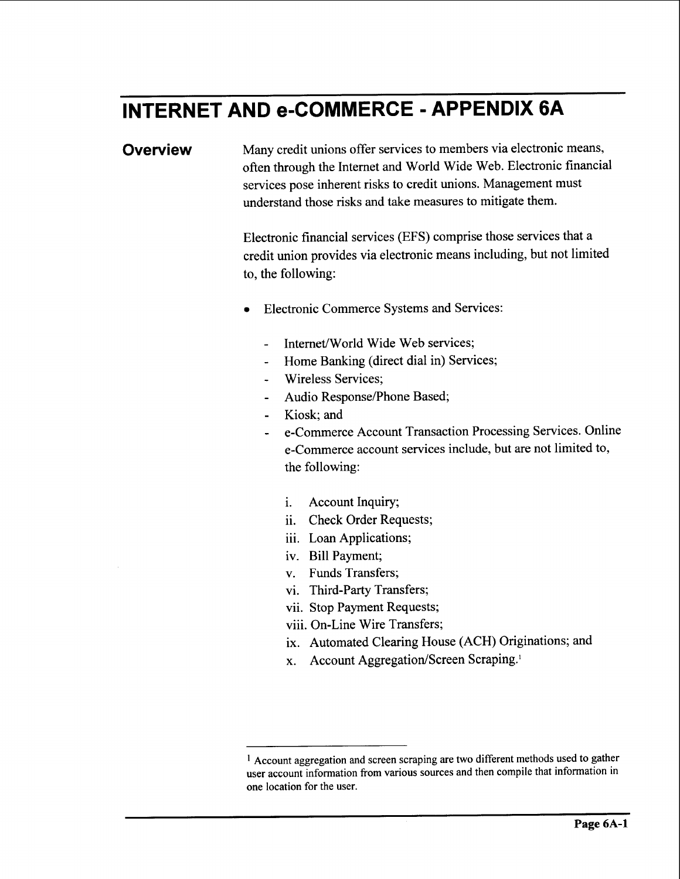## **INTERNET AND e-COMMERCE** - **APPENDIX 6A**

**Overview** Many credit unions offer services to members via electronic means, often through the Internet and World Wide Web. Electronic financial services pose inherent risks to credit unions. Management must understand those risks and take measures to mitigate them.

> Electronic financial services (EFS) comprise those services that a credit union provides via electronic means including, but not limited to, the following:

- **Electronic Commerce Systems and Services:** 
	- Internet/World Wide Web services;
	- Home Banking (direct dial in) Services;
	- Wireless Services;
	- Audio Response/Phone Based;
	- Kiosk; and
	- e-Commerce Account Transaction Processing Services. Online e-Commerce account services include, but are not limited to, the following:
		- i. Account Inquiry;
		- ii. Check Order Requests;
		- iii. Loan Applications;
		- iv. Bill Payment;
		- v. Funds Transfers;
		- vi. Third-Party Transfers;
		- vii. Stop Payment Requests;
		- viii. On-Line Wire Transfers;
		- ix. Automated Clearing House (ACH) Originations; and
		- **x.** Account Aggregation/Screen Scraping.<sup>1</sup>

**Account aggregation and screen scraping are** two **different methods used to gather user account information from various sources and then compile that information in one location for the user.**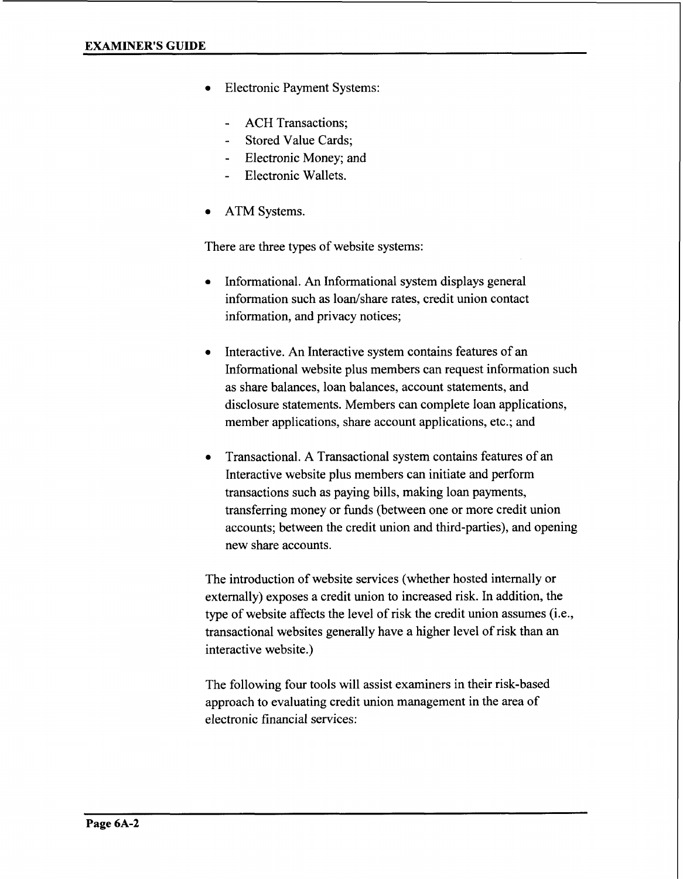- **Electronic Payment Systems:** 
	- ACH Transactions:
	- Stored Value Cards;
	- Electronic Money; and
	- Electronic Wallets.
- **ATM Systems.**

There are three types of website systems:

- Informational. An Informational system displays general information such as loan/share rates, credit union contact information, and privacy notices;
- *0* Interactive. An Interactive system contains features of an Informational website plus members can request information such as share balances, loan balances, account statements, and disclosure statements. Members can complete loan applications, member applications, share account applications, etc.; and
- *0* Transactional. A Transactional system contains features of an Interactive website plus members can initiate and perform transactions such as paying bills, making loan payments, transferring money or funds (between one or more credit union accounts; between the credit union and third-parties), and opening new share accounts.

The introduction of website services (whether hosted internally or externally) exposes a credit union to increased risk. In addition, the type of website affects the level of risk the credit union assumes (i.e., transactional websites generally have a higher level of risk than an interactive website.)

The following four tools will assist examiners in their risk-based approach to evaluating credit union management in the area of electronic financial services: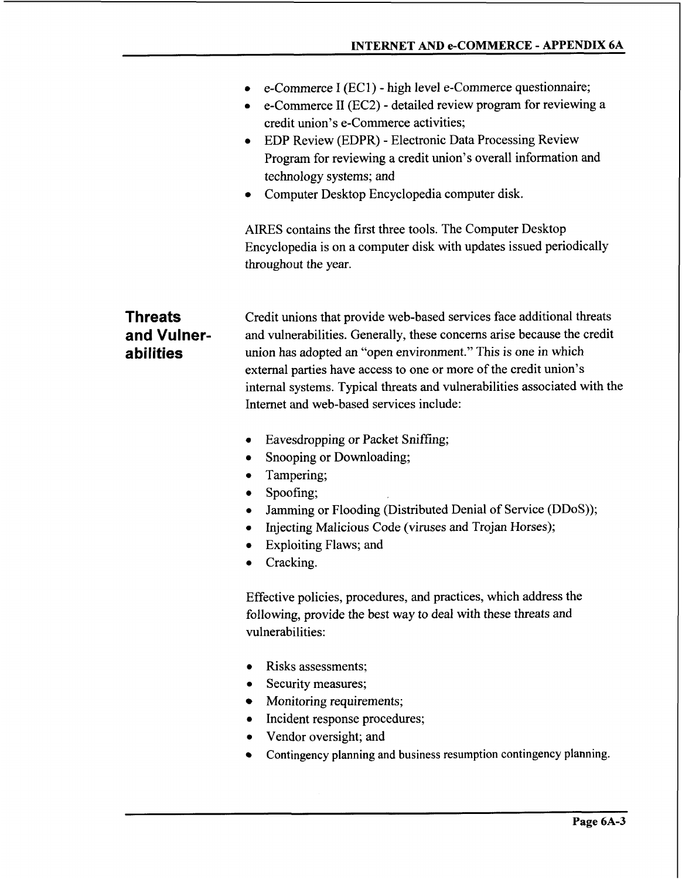- *0*  e-Commerce I (EC 1) - high level e-Commerce questionnaire;
- *0*  e-Commerce I1 (EC2) - detailed review program for reviewing **a**  credit union's e-Commerce activities;
- EDP Review (EDPR) Electronic Data Processing Review *0*  Program for reviewing a credit union's overall information and technology systems; and
- Computer Desktop Encyclopedia computer disk.

AIRES contains the first three tools. The Computer Desktop Encyclopedia is on a computer disk with updates issued periodically throughout the year.

**Threats and Vulnera bi I ities** 

Credit unions that provide web-based services face additional threats and vulnerabilities. Generally, these concerns arise because the credit union has adopted an "open environment." This is one in which external parties have access to one or more of the credit union's internal systems. Typical threats and vulnerabilities associated with the Internet and web-based services include:

- Eavesdropping or Packet Sniffing;
- Snooping or Downloading;  $\bullet$
- Tampering;
- Spoofing;
- Jamming or Flooding (Distributed Denial of Service (DDoS));
- Injecting Malicious Code (viruses and Trojan Horses);
- Exploiting Flaws; and
- Cracking.

Effective policies, procedures, and practices, which address the following, provide the best way to deal with these threats and vulnerabilities:

- *0* Risks assessments;
- *0* Security measures;
- Monitoring requirements;
- *0* Incident response procedures;
- *0* Vendor oversight; and
- Contingency planning and business resumption contingency planning.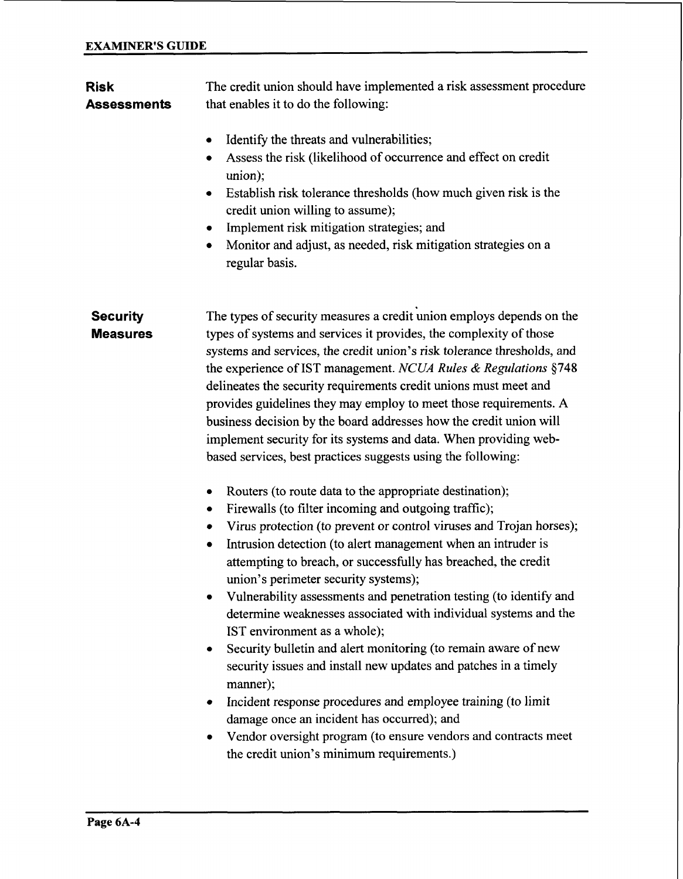| <b>Risk</b><br><b>Assessments</b>  | The credit union should have implemented a risk assessment procedure<br>that enables it to do the following:                                                                                                                                                                                                                                                                                                                                                                                                                                                                                                                                                                                                                                                                                                                                                                                                                                               |  |  |
|------------------------------------|------------------------------------------------------------------------------------------------------------------------------------------------------------------------------------------------------------------------------------------------------------------------------------------------------------------------------------------------------------------------------------------------------------------------------------------------------------------------------------------------------------------------------------------------------------------------------------------------------------------------------------------------------------------------------------------------------------------------------------------------------------------------------------------------------------------------------------------------------------------------------------------------------------------------------------------------------------|--|--|
|                                    | Identify the threats and vulnerabilities;<br>۰<br>Assess the risk (likelihood of occurrence and effect on credit<br>٠<br>union);<br>Establish risk tolerance thresholds (how much given risk is the<br>٠<br>credit union willing to assume);<br>Implement risk mitigation strategies; and<br>٠<br>Monitor and adjust, as needed, risk mitigation strategies on a<br>٠<br>regular basis.                                                                                                                                                                                                                                                                                                                                                                                                                                                                                                                                                                    |  |  |
| <b>Security</b><br><b>Measures</b> | The types of security measures a credit union employs depends on the<br>types of systems and services it provides, the complexity of those<br>systems and services, the credit union's risk tolerance thresholds, and<br>the experience of IST management. NCUA Rules & Regulations §748<br>delineates the security requirements credit unions must meet and<br>provides guidelines they may employ to meet those requirements. A<br>business decision by the board addresses how the credit union will<br>implement security for its systems and data. When providing web-<br>based services, best practices suggests using the following:                                                                                                                                                                                                                                                                                                                |  |  |
|                                    | Routers (to route data to the appropriate destination);<br>٠<br>Firewalls (to filter incoming and outgoing traffic);<br>٠<br>Virus protection (to prevent or control viruses and Trojan horses);<br>٠<br>Intrusion detection (to alert management when an intruder is<br>٠<br>attempting to breach, or successfully has breached, the credit<br>union's perimeter security systems);<br>Vulnerability assessments and penetration testing (to identify and<br>determine weaknesses associated with individual systems and the<br>IST environment as a whole);<br>Security bulletin and alert monitoring (to remain aware of new<br>٠<br>security issues and install new updates and patches in a timely<br>manner);<br>Incident response procedures and employee training (to limit<br>٠<br>damage once an incident has occurred); and<br>Vendor oversight program (to ensure vendors and contracts meet<br>٠<br>the credit union's minimum requirements.) |  |  |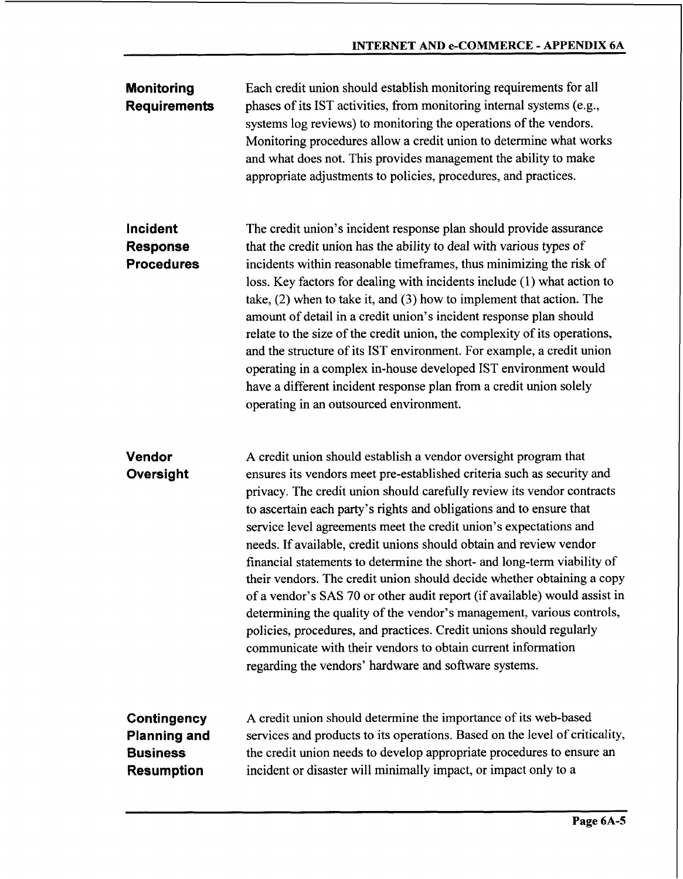| <b>Monitoring</b><br><b>Requirements</b>                                          | Each credit union should establish monitoring requirements for all<br>phases of its IST activities, from monitoring internal systems (e.g.,<br>systems log reviews) to monitoring the operations of the vendors.<br>Monitoring procedures allow a credit union to determine what works<br>and what does not. This provides management the ability to make<br>appropriate adjustments to policies, procedures, and practices.                                                                                                                                                                                                                                                                                                                                                                                                                                                                                                                     |
|-----------------------------------------------------------------------------------|--------------------------------------------------------------------------------------------------------------------------------------------------------------------------------------------------------------------------------------------------------------------------------------------------------------------------------------------------------------------------------------------------------------------------------------------------------------------------------------------------------------------------------------------------------------------------------------------------------------------------------------------------------------------------------------------------------------------------------------------------------------------------------------------------------------------------------------------------------------------------------------------------------------------------------------------------|
| Incident<br><b>Response</b><br><b>Procedures</b>                                  | The credit union's incident response plan should provide assurance<br>that the credit union has the ability to deal with various types of<br>incidents within reasonable timeframes, thus minimizing the risk of<br>loss. Key factors for dealing with incidents include (1) what action to<br>take, $(2)$ when to take it, and $(3)$ how to implement that action. The<br>amount of detail in a credit union's incident response plan should<br>relate to the size of the credit union, the complexity of its operations,<br>and the structure of its IST environment. For example, a credit union<br>operating in a complex in-house developed IST environment would<br>have a different incident response plan from a credit union solely<br>operating in an outsourced environment.                                                                                                                                                          |
| Vendor<br>Oversight                                                               | A credit union should establish a vendor oversight program that<br>ensures its vendors meet pre-established criteria such as security and<br>privacy. The credit union should carefully review its vendor contracts<br>to ascertain each party's rights and obligations and to ensure that<br>service level agreements meet the credit union's expectations and<br>needs. If available, credit unions should obtain and review vendor<br>financial statements to determine the short- and long-term viability of<br>their vendors. The credit union should decide whether obtaining a copy<br>of a vendor's SAS 70 or other audit report (if available) would assist in<br>determining the quality of the vendor's management, various controls,<br>policies, procedures, and practices. Credit unions should regularly<br>communicate with their vendors to obtain current information<br>regarding the vendors' hardware and software systems. |
| <b>Contingency</b><br><b>Planning and</b><br><b>Business</b><br><b>Resumption</b> | A credit union should determine the importance of its web-based<br>services and products to its operations. Based on the level of criticality,<br>the credit union needs to develop appropriate procedures to ensure an<br>incident or disaster will minimally impact, or impact only to a                                                                                                                                                                                                                                                                                                                                                                                                                                                                                                                                                                                                                                                       |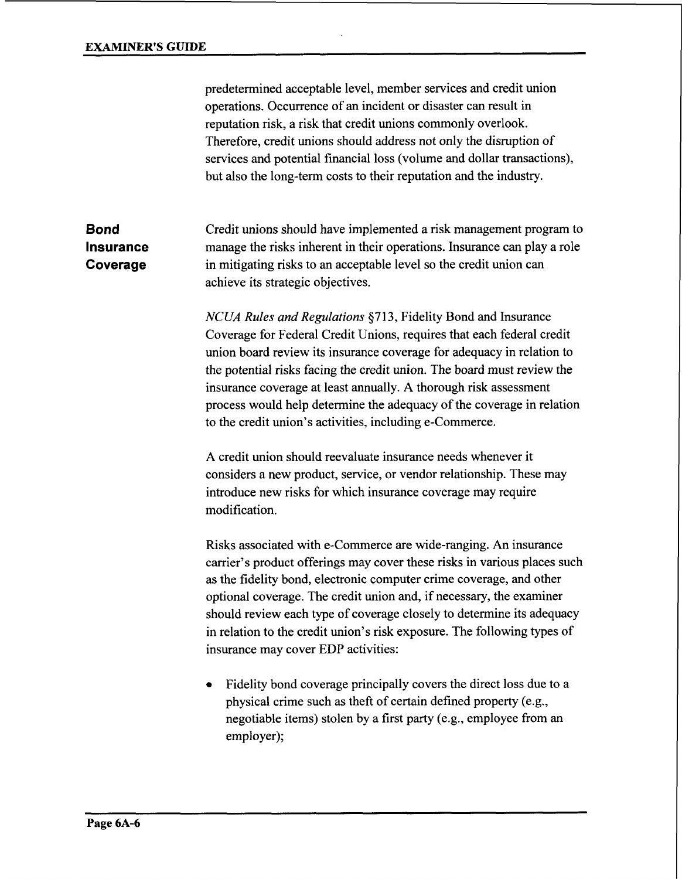predetermined acceptable level, member services and credit union operations. Occurrence of an incident or disaster can result in reputation risk, a risk that credit unions commonly overlook. Therefore, credit unions should address not only the disruption of services and potential financial loss (volume and dollar transactions), but also the long-term costs to their reputation and the industry.

**Bond Insurance Coverage**  Credit unions should have implemented a risk management program to manage the risks inherent in their operations. Insurance can play a role in mitigating risks to an acceptable level *so* the credit union can achieve its strategic objectives.

> *NCUA Rules and Regulations* \$713, Fidelity Bond and Insurance Coverage for Federal Credit Unions, requires that each federal credit union board review its insurance coverage for adequacy in relation to the potential risks facing the credit union. The board must review the insurance coverage at least annually. **A** thorough risk assessment process would help determine the adequacy of the coverage in relation to the credit union's activities, including e-Commerce.

**A** credit union should reevaluate insurance needs whenever it considers a new product, service, or vendor relationship. These may introduce new risks for which insurance coverage may require modification.

Risks associated with e-Commerce are wide-ranging. An insurance carrier's product offerings may cover these risks in various places such as the fidelity bond, electronic computer crime coverage, and other optional coverage. The credit union and, if necessary, the examiner should review each type of coverage closely to determine its adequacy in relation to the credit union's risk exposure. The following types of insurance may cover EDP activities:

Fidelity bond coverage principally covers the direct loss due to a physical crime such as theft of certain defined property (e.g., negotiable items) stolen by a first party (e.g., employee from an employer);